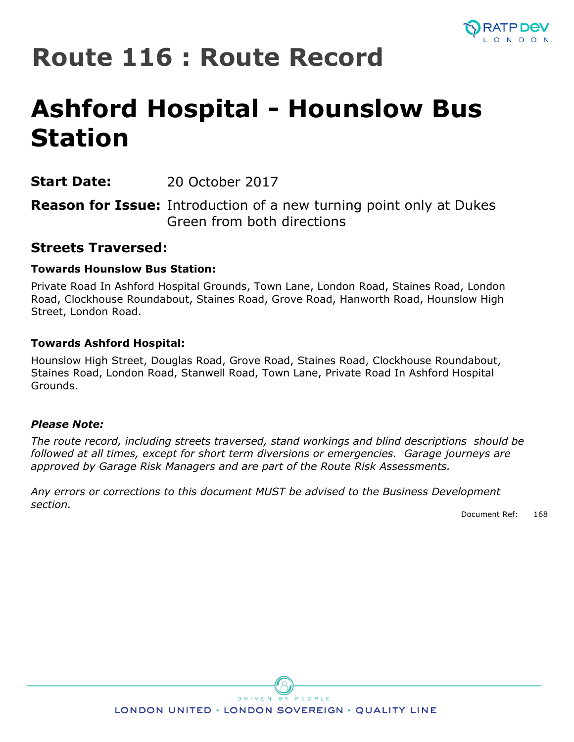

## **Route 116 : Route Record**

# **Ashford Hospital - Hounslow Bus Station**

**Start Date:** 20 October 2017

**Reason for Issue:** Introduction of a new turning point only at Dukes Green from both directions

## **Streets Traversed:**

## **Towards Hounslow Bus Station:**

Private Road In Ashford Hospital Grounds, Town Lane, London Road, Staines Road, London Road, Clockhouse Roundabout, Staines Road, Grove Road, Hanworth Road, Hounslow High Street, London Road.

## **Towards Ashford Hospital:**

Hounslow High Street, Douglas Road, Grove Road, Staines Road, Clockhouse Roundabout, Staines Road, London Road, Stanwell Road, Town Lane, Private Road In Ashford Hospital Grounds.

### *Please Note:*

*The route record, including streets traversed, stand workings and blind descriptions should be followed at all times, except for short term diversions or emergencies. Garage journeys are approved by Garage Risk Managers and are part of the Route Risk Assessments.*

*Any errors or corrections to this document MUST be advised to the Business Development section.*

Document Ref: 168



LONDON UNITED · LONDON SOVEREIGN · QUALITY LINE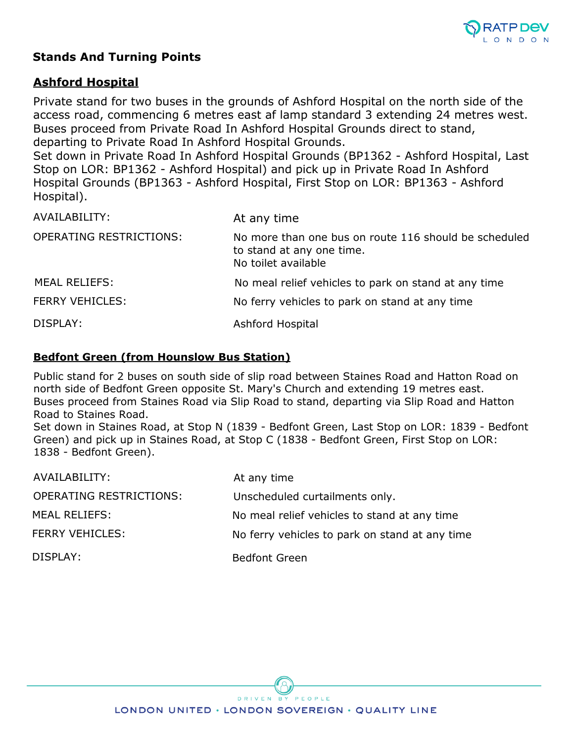

## **Stands And Turning Points**

## **Ashford Hospital**

Private stand for two buses in the grounds of Ashford Hospital on the north side of the access road, commencing 6 metres east af lamp standard 3 extending 24 metres west. Buses proceed from Private Road In Ashford Hospital Grounds direct to stand, departing to Private Road In Ashford Hospital Grounds.

Set down in Private Road In Ashford Hospital Grounds (BP1362 - Ashford Hospital, Last Stop on LOR: BP1362 - Ashford Hospital) and pick up in Private Road In Ashford Hospital Grounds (BP1363 - Ashford Hospital, First Stop on LOR: BP1363 - Ashford Hospital).

| AVAILABILITY:                  | At any time                                                                                               |
|--------------------------------|-----------------------------------------------------------------------------------------------------------|
| <b>OPERATING RESTRICTIONS:</b> | No more than one bus on route 116 should be scheduled<br>to stand at any one time.<br>No toilet available |
| <b>MEAL RELIEFS:</b>           | No meal relief vehicles to park on stand at any time                                                      |
| <b>FERRY VEHICLES:</b>         | No ferry vehicles to park on stand at any time                                                            |
| DISPLAY:                       | Ashford Hospital                                                                                          |

### **Bedfont Green (from Hounslow Bus Station)**

Public stand for 2 buses on south side of slip road between Staines Road and Hatton Road on north side of Bedfont Green opposite St. Mary's Church and extending 19 metres east. Buses proceed from Staines Road via Slip Road to stand, departing via Slip Road and Hatton Road to Staines Road.

Set down in Staines Road, at Stop N (1839 - Bedfont Green, Last Stop on LOR: 1839 - Bedfont Green) and pick up in Staines Road, at Stop C (1838 - Bedfont Green, First Stop on LOR: 1838 - Bedfont Green).

| AVAILABILITY:           | At any time                                    |
|-------------------------|------------------------------------------------|
| OPERATING RESTRICTIONS: | Unscheduled curtailments only.                 |
| <b>MEAL RELIEFS:</b>    | No meal relief vehicles to stand at any time   |
| <b>FERRY VEHICLES:</b>  | No ferry vehicles to park on stand at any time |
| DISPLAY:                | <b>Bedfont Green</b>                           |

DRIVEN BY PEOPLE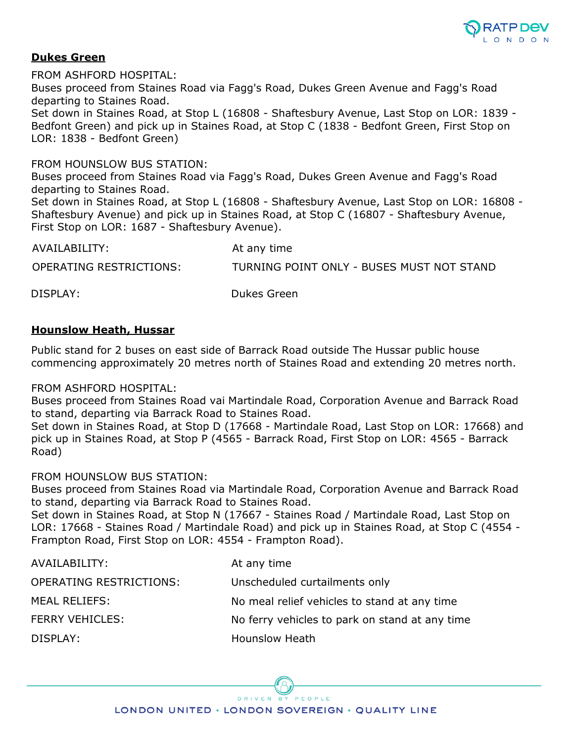

#### **Dukes Green**

FROM ASHFORD HOSPITAL: Buses proceed from Staines Road via Fagg's Road, Dukes Green Avenue and Fagg's Road departing to Staines Road. Set down in Staines Road, at Stop L (16808 - Shaftesbury Avenue, Last Stop on LOR: 1839 - Bedfont Green) and pick up in Staines Road, at Stop C (1838 - Bedfont Green, First Stop on LOR: 1838 - Bedfont Green)

FROM HOUNSLOW BUS STATION:

Buses proceed from Staines Road via Fagg's Road, Dukes Green Avenue and Fagg's Road departing to Staines Road.

Set down in Staines Road, at Stop L (16808 - Shaftesbury Avenue, Last Stop on LOR: 16808 - Shaftesbury Avenue) and pick up in Staines Road, at Stop C (16807 - Shaftesbury Avenue, First Stop on LOR: 1687 - Shaftesbury Avenue).

| AVAILABILITY:           | At any time                               |
|-------------------------|-------------------------------------------|
| OPERATING RESTRICTIONS: | TURNING POINT ONLY - BUSES MUST NOT STAND |
| DISPLAY:                | Dukes Green                               |

#### **Hounslow Heath, Hussar**

Public stand for 2 buses on east side of Barrack Road outside The Hussar public house commencing approximately 20 metres north of Staines Road and extending 20 metres north.

#### FROM ASHFORD HOSPITAL:

Buses proceed from Staines Road vai Martindale Road, Corporation Avenue and Barrack Road to stand, departing via Barrack Road to Staines Road.

Set down in Staines Road, at Stop D (17668 - Martindale Road, Last Stop on LOR: 17668) and pick up in Staines Road, at Stop P (4565 - Barrack Road, First Stop on LOR: 4565 - Barrack Road)

#### FROM HOUNSLOW BUS STATION:

Buses proceed from Staines Road via Martindale Road, Corporation Avenue and Barrack Road to stand, departing via Barrack Road to Staines Road.

Set down in Staines Road, at Stop N (17667 - Staines Road / Martindale Road, Last Stop on LOR: 17668 - Staines Road / Martindale Road) and pick up in Staines Road, at Stop C (4554 - Frampton Road, First Stop on LOR: 4554 - Frampton Road).

| AVAILABILITY:                  | At any time                                    |
|--------------------------------|------------------------------------------------|
| <b>OPERATING RESTRICTIONS:</b> | Unscheduled curtailments only                  |
| MEAL RELIEFS:                  | No meal relief vehicles to stand at any time   |
| <b>FERRY VEHICLES:</b>         | No ferry vehicles to park on stand at any time |
| DISPLAY:                       | Hounslow Heath                                 |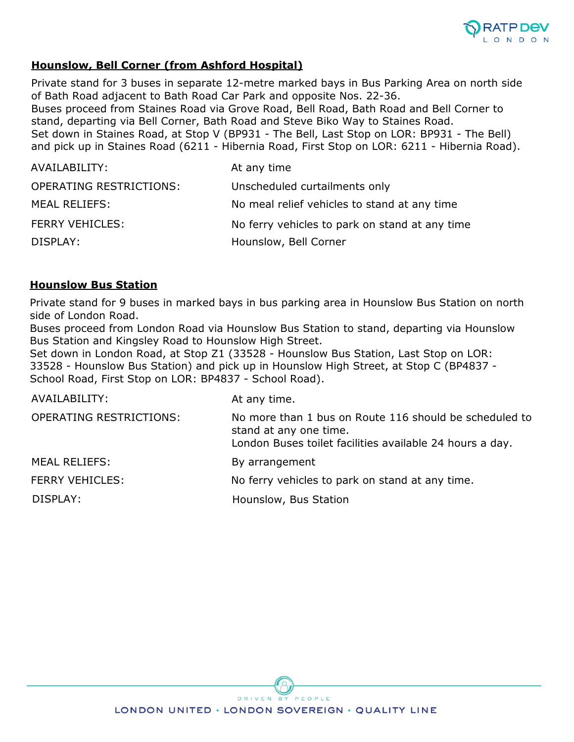

### **Hounslow, Bell Corner (from Ashford Hospital)**

Private stand for 3 buses in separate 12-metre marked bays in Bus Parking Area on north side of Bath Road adjacent to Bath Road Car Park and opposite Nos. 22-36. Buses proceed from Staines Road via Grove Road, Bell Road, Bath Road and Bell Corner to stand, departing via Bell Corner, Bath Road and Steve Biko Way to Staines Road. Set down in Staines Road, at Stop V (BP931 - The Bell, Last Stop on LOR: BP931 - The Bell) and pick up in Staines Road (6211 - Hibernia Road, First Stop on LOR: 6211 - Hibernia Road).

| AVAILABILITY:           | At any time                                    |
|-------------------------|------------------------------------------------|
| OPERATING RESTRICTIONS: | Unscheduled curtailments only                  |
| <b>MEAL RELIEFS:</b>    | No meal relief vehicles to stand at any time   |
| FERRY VEHICLES:         | No ferry vehicles to park on stand at any time |
| DISPLAY:                | Hounslow, Bell Corner                          |

#### **Hounslow Bus Station**

Private stand for 9 buses in marked bays in bus parking area in Hounslow Bus Station on north side of London Road.

Buses proceed from London Road via Hounslow Bus Station to stand, departing via Hounslow Bus Station and Kingsley Road to Hounslow High Street.

Set down in London Road, at Stop Z1 (33528 - Hounslow Bus Station, Last Stop on LOR: 33528 - Hounslow Bus Station) and pick up in Hounslow High Street, at Stop C (BP4837 - School Road, First Stop on LOR: BP4837 - School Road).

| AVAILABILITY:                  | At any time.                                                                                                                                 |
|--------------------------------|----------------------------------------------------------------------------------------------------------------------------------------------|
| <b>OPERATING RESTRICTIONS:</b> | No more than 1 bus on Route 116 should be scheduled to<br>stand at any one time.<br>London Buses toilet facilities available 24 hours a day. |
| <b>MEAL RELIEFS:</b>           | By arrangement                                                                                                                               |
| <b>FERRY VEHICLES:</b>         | No ferry vehicles to park on stand at any time.                                                                                              |
| DISPLAY:                       | Hounslow, Bus Station                                                                                                                        |

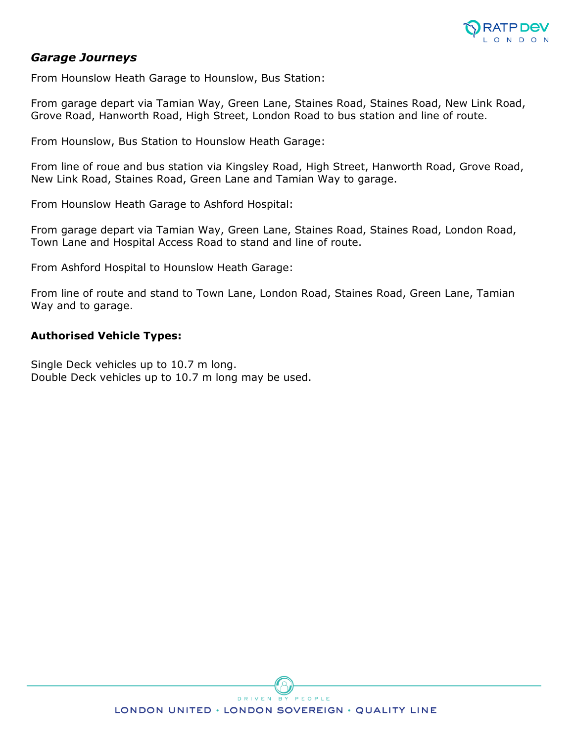

### *Garage Journeys*

From Hounslow Heath Garage to Hounslow, Bus Station:

From garage depart via Tamian Way, Green Lane, Staines Road, Staines Road, New Link Road, Grove Road, Hanworth Road, High Street, London Road to bus station and line of route.

From Hounslow, Bus Station to Hounslow Heath Garage:

From line of roue and bus station via Kingsley Road, High Street, Hanworth Road, Grove Road, New Link Road, Staines Road, Green Lane and Tamian Way to garage.

From Hounslow Heath Garage to Ashford Hospital:

From garage depart via Tamian Way, Green Lane, Staines Road, Staines Road, London Road, Town Lane and Hospital Access Road to stand and line of route.

From Ashford Hospital to Hounslow Heath Garage:

From line of route and stand to Town Lane, London Road, Staines Road, Green Lane, Tamian Way and to garage.

#### **Authorised Vehicle Types:**

Single Deck vehicles up to 10.7 m long. Double Deck vehicles up to 10.7 m long may be used.

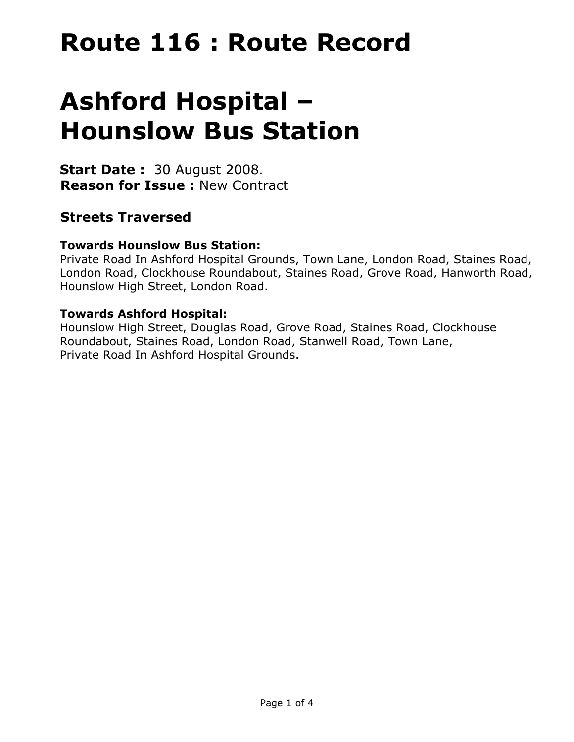# **Route 116 : Route Record**

# **Ashford Hospital – Hounslow Bus Station**

**Start Date :** 30 August 2008. **Reason for Issue :** New Contract

## **Streets Traversed**

## **Towards Hounslow Bus Station:**

Private Road In Ashford Hospital Grounds, Town Lane, London Road, Staines Road, London Road, Clockhouse Roundabout, Staines Road, Grove Road, Hanworth Road, Hounslow High Street, London Road.

## **Towards Ashford Hospital:**

Hounslow High Street, Douglas Road, Grove Road, Staines Road, Clockhouse Roundabout, Staines Road, London Road, Stanwell Road, Town Lane, Private Road In Ashford Hospital Grounds.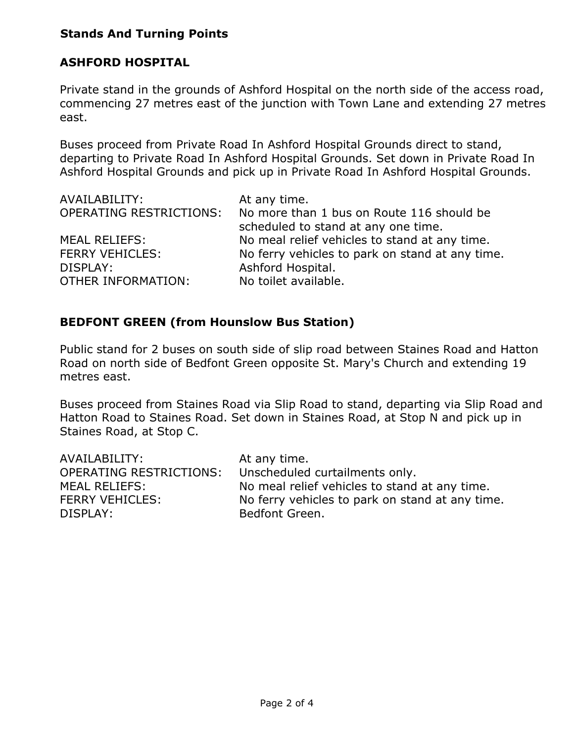## **Stands And Turning Points**

## **ASHFORD HOSPITAL**

Private stand in the grounds of Ashford Hospital on the north side of the access road, commencing 27 metres east of the junction with Town Lane and extending 27 metres east.

Buses proceed from Private Road In Ashford Hospital Grounds direct to stand, departing to Private Road In Ashford Hospital Grounds. Set down in Private Road In Ashford Hospital Grounds and pick up in Private Road In Ashford Hospital Grounds.

| AVAILABILITY:             | At any time.                                    |
|---------------------------|-------------------------------------------------|
| OPERATING RESTRICTIONS:   | No more than 1 bus on Route 116 should be       |
|                           | scheduled to stand at any one time.             |
| <b>MEAL RELIEFS:</b>      | No meal relief vehicles to stand at any time.   |
| <b>FERRY VEHICLES:</b>    | No ferry vehicles to park on stand at any time. |
| DISPLAY:                  | Ashford Hospital.                               |
| <b>OTHER INFORMATION:</b> | No toilet available.                            |

## **BEDFONT GREEN (from Hounslow Bus Station)**

Public stand for 2 buses on south side of slip road between Staines Road and Hatton Road on north side of Bedfont Green opposite St. Mary's Church and extending 19 metres east.

Buses proceed from Staines Road via Slip Road to stand, departing via Slip Road and Hatton Road to Staines Road. Set down in Staines Road, at Stop N and pick up in Staines Road, at Stop C.

| AVAILABILITY:                  | At any time.                                    |
|--------------------------------|-------------------------------------------------|
| <b>OPERATING RESTRICTIONS:</b> | Unscheduled curtailments only.                  |
| <b>MEAL RELIEFS:</b>           | No meal relief vehicles to stand at any time.   |
| <b>FERRY VEHICLES:</b>         | No ferry vehicles to park on stand at any time. |
| DISPLAY:                       | Bedfont Green.                                  |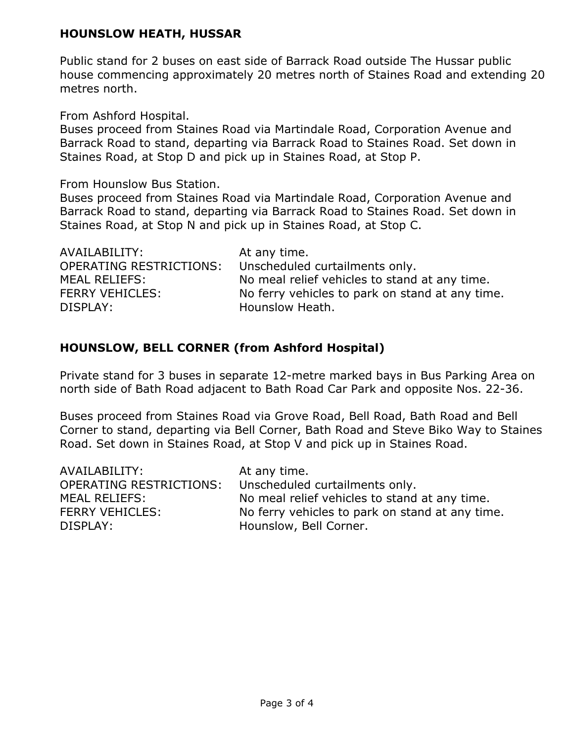## **HOUNSLOW HEATH, HUSSAR**

Public stand for 2 buses on east side of Barrack Road outside The Hussar public house commencing approximately 20 metres north of Staines Road and extending 20 metres north.

From Ashford Hospital.

Buses proceed from Staines Road via Martindale Road, Corporation Avenue and Barrack Road to stand, departing via Barrack Road to Staines Road. Set down in Staines Road, at Stop D and pick up in Staines Road, at Stop P.

From Hounslow Bus Station.

Buses proceed from Staines Road via Martindale Road, Corporation Avenue and Barrack Road to stand, departing via Barrack Road to Staines Road. Set down in Staines Road, at Stop N and pick up in Staines Road, at Stop C.

| AVAILABILITY:                  | At any time.                                    |
|--------------------------------|-------------------------------------------------|
| <b>OPERATING RESTRICTIONS:</b> | Unscheduled curtailments only.                  |
| MEAL RELIEFS:                  | No meal relief vehicles to stand at any time.   |
| <b>FERRY VEHICLES:</b>         | No ferry vehicles to park on stand at any time. |
| DISPLAY:                       | Hounslow Heath.                                 |

## **HOUNSLOW, BELL CORNER (from Ashford Hospital)**

Private stand for 3 buses in separate 12-metre marked bays in Bus Parking Area on north side of Bath Road adjacent to Bath Road Car Park and opposite Nos. 22-36.

Buses proceed from Staines Road via Grove Road, Bell Road, Bath Road and Bell Corner to stand, departing via Bell Corner, Bath Road and Steve Biko Way to Staines Road. Set down in Staines Road, at Stop V and pick up in Staines Road.

| AVAILABILITY:                  | At any time.                                    |
|--------------------------------|-------------------------------------------------|
| <b>OPERATING RESTRICTIONS:</b> | Unscheduled curtailments only.                  |
| <b>MEAL RELIEFS:</b>           | No meal relief vehicles to stand at any time.   |
| <b>FERRY VEHICLES:</b>         | No ferry vehicles to park on stand at any time. |
| DISPLAY:                       | Hounslow, Bell Corner.                          |